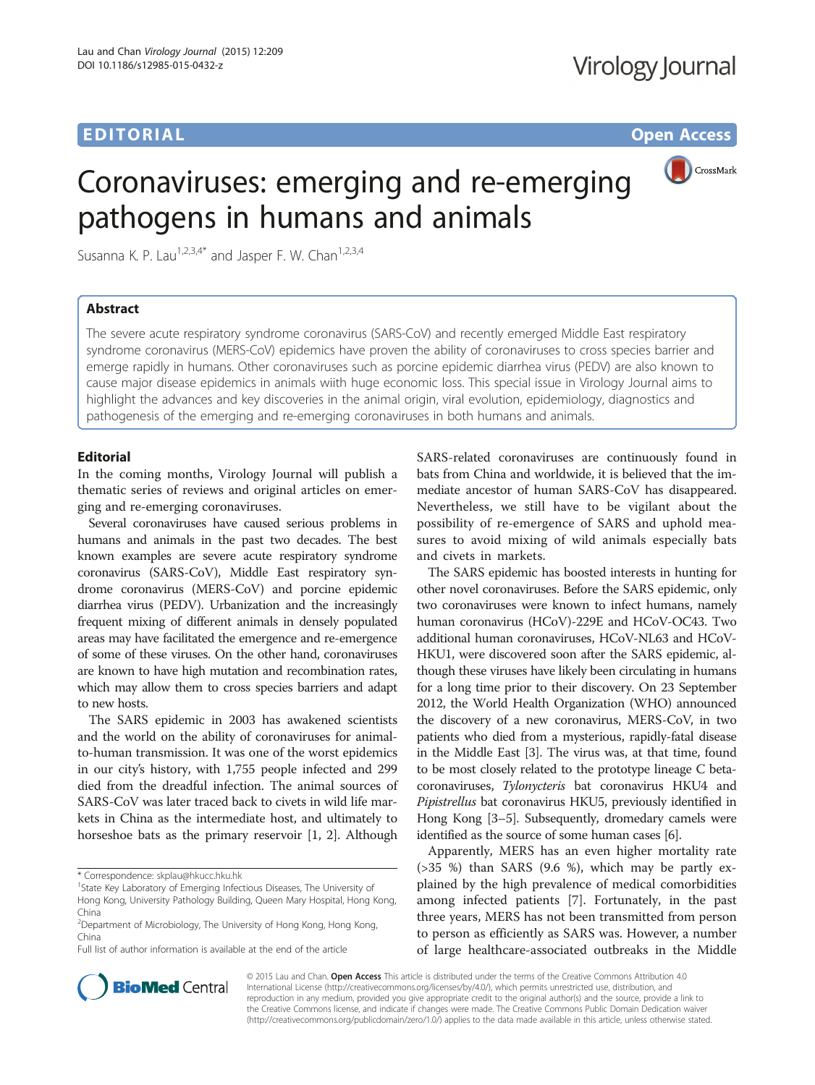# EDITORIAL CONTRACT CONTRACT CONTRACT CONTRACT CONTRACT CONTRACT CONTRACT CONTRACT CONTRACT CONTRACT CONTRACT CO



# Coronaviruses: emerging and re-emerging pathogens in humans and animals

Susanna K. P. Lau<sup>1,2,3,4\*</sup> and Jasper F. W. Chan<sup>1,2,3,4</sup>

## Abstract

The severe acute respiratory syndrome coronavirus (SARS-CoV) and recently emerged Middle East respiratory syndrome coronavirus (MERS-CoV) epidemics have proven the ability of coronaviruses to cross species barrier and emerge rapidly in humans. Other coronaviruses such as porcine epidemic diarrhea virus (PEDV) are also known to cause major disease epidemics in animals wiith huge economic loss. This special issue in Virology Journal aims to highlight the advances and key discoveries in the animal origin, viral evolution, epidemiology, diagnostics and pathogenesis of the emerging and re-emerging coronaviruses in both humans and animals.

### Editorial

In the coming months, Virology Journal will publish a thematic series of reviews and original articles on emerging and re-emerging coronaviruses.

Several coronaviruses have caused serious problems in humans and animals in the past two decades. The best known examples are severe acute respiratory syndrome coronavirus (SARS-CoV), Middle East respiratory syndrome coronavirus (MERS-CoV) and porcine epidemic diarrhea virus (PEDV). Urbanization and the increasingly frequent mixing of different animals in densely populated areas may have facilitated the emergence and re-emergence of some of these viruses. On the other hand, coronaviruses are known to have high mutation and recombination rates, which may allow them to cross species barriers and adapt to new hosts.

The SARS epidemic in 2003 has awakened scientists and the world on the ability of coronaviruses for animalto-human transmission. It was one of the worst epidemics in our city's history, with 1,755 people infected and 299 died from the dreadful infection. The animal sources of SARS-CoV was later traced back to civets in wild life markets in China as the intermediate host, and ultimately to horseshoe bats as the primary reservoir [[1, 2\]](#page-2-0). Although

Full list of author information is available at the end of the article

SARS-related coronaviruses are continuously found in bats from China and worldwide, it is believed that the immediate ancestor of human SARS-CoV has disappeared. Nevertheless, we still have to be vigilant about the possibility of re-emergence of SARS and uphold measures to avoid mixing of wild animals especially bats and civets in markets.

The SARS epidemic has boosted interests in hunting for other novel coronaviruses. Before the SARS epidemic, only two coronaviruses were known to infect humans, namely human coronavirus (HCoV)-229E and HCoV-OC43. Two additional human coronaviruses, HCoV-NL63 and HCoV-HKU1, were discovered soon after the SARS epidemic, although these viruses have likely been circulating in humans for a long time prior to their discovery. On 23 September 2012, the World Health Organization (WHO) announced the discovery of a new coronavirus, MERS-CoV, in two patients who died from a mysterious, rapidly-fatal disease in the Middle East [[3](#page-2-0)]. The virus was, at that time, found to be most closely related to the prototype lineage C betacoronaviruses, Tylonycteris bat coronavirus HKU4 and Pipistrellus bat coronavirus HKU5, previously identified in Hong Kong [\[3](#page-2-0)–[5\]](#page-2-0). Subsequently, dromedary camels were identified as the source of some human cases [[6](#page-2-0)].

Apparently, MERS has an even higher mortality rate  $($ >35 %) than SARS (9.6 %), which may be partly explained by the high prevalence of medical comorbidities among infected patients [\[7](#page-2-0)]. Fortunately, in the past three years, MERS has not been transmitted from person to person as efficiently as SARS was. However, a number of large healthcare-associated outbreaks in the Middle



© 2015 Lau and Chan. Open Access This article is distributed under the terms of the Creative Commons Attribution 4.0 International License [\(http://creativecommons.org/licenses/by/4.0/](http://creativecommons.org/licenses/by/4.0/)), which permits unrestricted use, distribution, and reproduction in any medium, provided you give appropriate credit to the original author(s) and the source, provide a link to the Creative Commons license, and indicate if changes were made. The Creative Commons Public Domain Dedication waiver [\(http://creativecommons.org/publicdomain/zero/1.0/](http://creativecommons.org/publicdomain/zero/1.0/)) applies to the data made available in this article, unless otherwise stated.

<sup>\*</sup> Correspondence: [skplau@hkucc.hku.hk](mailto:skplau@hkucc.hku.hk) <sup>1</sup>

<sup>&</sup>lt;sup>1</sup>State Key Laboratory of Emerging Infectious Diseases, The University of Hong Kong, University Pathology Building, Queen Mary Hospital, Hong Kong, China

<sup>&</sup>lt;sup>2</sup>Department of Microbiology, The University of Hong Kong, Hong Kong, China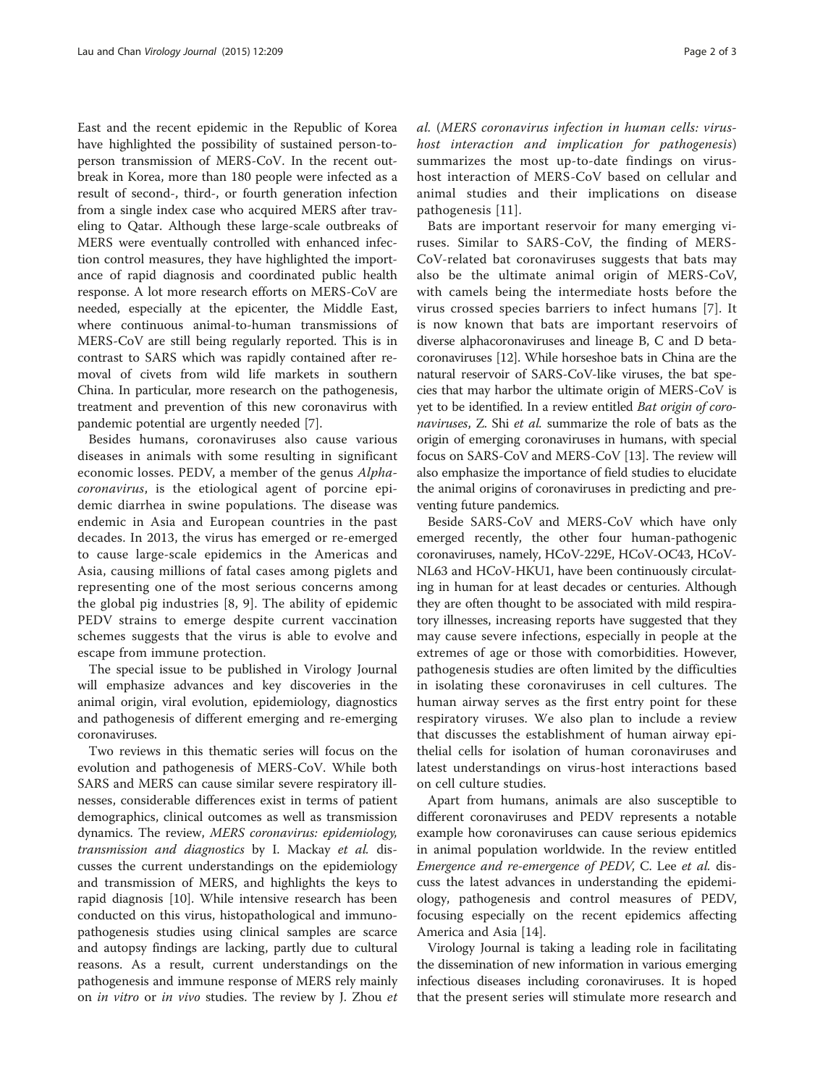East and the recent epidemic in the Republic of Korea have highlighted the possibility of sustained person-toperson transmission of MERS-CoV. In the recent outbreak in Korea, more than 180 people were infected as a result of second-, third-, or fourth generation infection from a single index case who acquired MERS after traveling to Qatar. Although these large-scale outbreaks of MERS were eventually controlled with enhanced infection control measures, they have highlighted the importance of rapid diagnosis and coordinated public health response. A lot more research efforts on MERS-CoV are needed, especially at the epicenter, the Middle East, where continuous animal-to-human transmissions of MERS-CoV are still being regularly reported. This is in contrast to SARS which was rapidly contained after removal of civets from wild life markets in southern China. In particular, more research on the pathogenesis, treatment and prevention of this new coronavirus with pandemic potential are urgently needed [[7](#page-2-0)].

Besides humans, coronaviruses also cause various diseases in animals with some resulting in significant economic losses. PEDV, a member of the genus Alphacoronavirus, is the etiological agent of porcine epidemic diarrhea in swine populations. The disease was endemic in Asia and European countries in the past decades. In 2013, the virus has emerged or re-emerged to cause large-scale epidemics in the Americas and Asia, causing millions of fatal cases among piglets and representing one of the most serious concerns among the global pig industries [[8, 9\]](#page-2-0). The ability of epidemic PEDV strains to emerge despite current vaccination schemes suggests that the virus is able to evolve and escape from immune protection.

The special issue to be published in Virology Journal will emphasize advances and key discoveries in the animal origin, viral evolution, epidemiology, diagnostics and pathogenesis of different emerging and re-emerging coronaviruses.

Two reviews in this thematic series will focus on the evolution and pathogenesis of MERS-CoV. While both SARS and MERS can cause similar severe respiratory illnesses, considerable differences exist in terms of patient demographics, clinical outcomes as well as transmission dynamics. The review, MERS coronavirus: epidemiology, transmission and diagnostics by I. Mackay et al. discusses the current understandings on the epidemiology and transmission of MERS, and highlights the keys to rapid diagnosis [[10\]](#page-2-0). While intensive research has been conducted on this virus, histopathological and immunopathogenesis studies using clinical samples are scarce and autopsy findings are lacking, partly due to cultural reasons. As a result, current understandings on the pathogenesis and immune response of MERS rely mainly on in vitro or in vivo studies. The review by J. Zhou et al. (MERS coronavirus infection in human cells: virushost interaction and implication for pathogenesis) summarizes the most up-to-date findings on virushost interaction of MERS-CoV based on cellular and animal studies and their implications on disease pathogenesis [[11\]](#page-2-0).

Bats are important reservoir for many emerging viruses. Similar to SARS-CoV, the finding of MERS-CoV-related bat coronaviruses suggests that bats may also be the ultimate animal origin of MERS-CoV, with camels being the intermediate hosts before the virus crossed species barriers to infect humans [[7](#page-2-0)]. It is now known that bats are important reservoirs of diverse alphacoronaviruses and lineage B, C and D betacoronaviruses [[12](#page-2-0)]. While horseshoe bats in China are the natural reservoir of SARS-CoV-like viruses, the bat species that may harbor the ultimate origin of MERS-CoV is yet to be identified. In a review entitled Bat origin of coronaviruses, Z. Shi et al. summarize the role of bats as the origin of emerging coronaviruses in humans, with special focus on SARS-CoV and MERS-CoV [\[13](#page-2-0)]. The review will also emphasize the importance of field studies to elucidate the animal origins of coronaviruses in predicting and preventing future pandemics.

Beside SARS-CoV and MERS-CoV which have only emerged recently, the other four human-pathogenic coronaviruses, namely, HCoV-229E, HCoV-OC43, HCoV-NL63 and HCoV-HKU1, have been continuously circulating in human for at least decades or centuries. Although they are often thought to be associated with mild respiratory illnesses, increasing reports have suggested that they may cause severe infections, especially in people at the extremes of age or those with comorbidities. However, pathogenesis studies are often limited by the difficulties in isolating these coronaviruses in cell cultures. The human airway serves as the first entry point for these respiratory viruses. We also plan to include a review that discusses the establishment of human airway epithelial cells for isolation of human coronaviruses and latest understandings on virus-host interactions based on cell culture studies.

Apart from humans, animals are also susceptible to different coronaviruses and PEDV represents a notable example how coronaviruses can cause serious epidemics in animal population worldwide. In the review entitled Emergence and re-emergence of PEDV, C. Lee et al. discuss the latest advances in understanding the epidemiology, pathogenesis and control measures of PEDV, focusing especially on the recent epidemics affecting America and Asia [\[14\]](#page-2-0).

Virology Journal is taking a leading role in facilitating the dissemination of new information in various emerging infectious diseases including coronaviruses. It is hoped that the present series will stimulate more research and